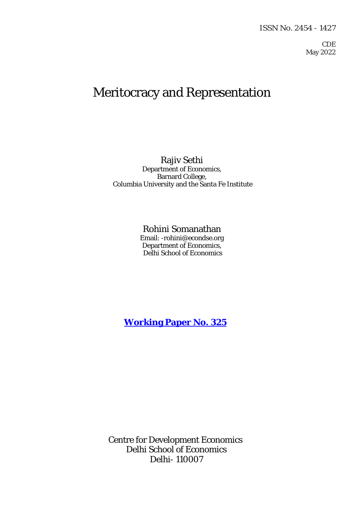#### ISSN No. 2454 - 1427

CDE May 2022

# Meritocracy and Representation

Rajiv Sethi Department of Economics, Barnard College, Columbia University and the Santa Fe Institute

# Rohini Somanathan

Email: -rohini@econdse.org Department of Economics, Delhi School of Economics

**[Working Paper No. 325](http://www.cdedse.org/pdf/work325.pdf)**

Centre for Development Economics Delhi School of Economics Delhi- 110007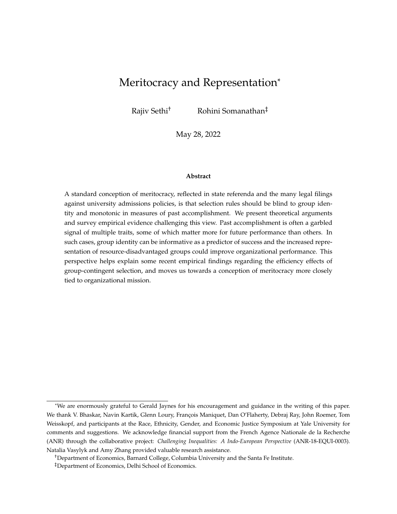# Meritocracy and Representation<sup>\*</sup>

Rajiv Sethi† Rohini Somanathan‡

May 28, 2022

#### **Abstract**

A standard conception of meritocracy, reflected in state referenda and the many legal filings against university admissions policies, is that selection rules should be blind to group identity and monotonic in measures of past accomplishment. We present theoretical arguments and survey empirical evidence challenging this view. Past accomplishment is often a garbled signal of multiple traits, some of which matter more for future performance than others. In such cases, group identity can be informative as a predictor of success and the increased representation of resource-disadvantaged groups could improve organizational performance. This perspective helps explain some recent empirical findings regarding the efficiency effects of group-contingent selection, and moves us towards a conception of meritocracy more closely tied to organizational mission.

<sup>\*</sup>We are enormously grateful to Gerald Jaynes for his encouragement and guidance in the writing of this paper. We thank V. Bhaskar, Navin Kartik, Glenn Loury, François Maniquet, Dan O'Flaherty, Debraj Ray, John Roemer, Tom Weisskopf, and participants at the Race, Ethnicity, Gender, and Economic Justice Symposium at Yale University for comments and suggestions. We acknowledge financial support from the French Agence Nationale de la Recherche (ANR) through the collaborative project: *Challenging Inequalities: A Indo-European Perspective* (ANR-18-EQUI-0003). Natalia Vasylyk and Amy Zhang provided valuable research assistance.

<sup>†</sup>Department of Economics, Barnard College, Columbia University and the Santa Fe Institute.

<sup>‡</sup>Department of Economics, Delhi School of Economics.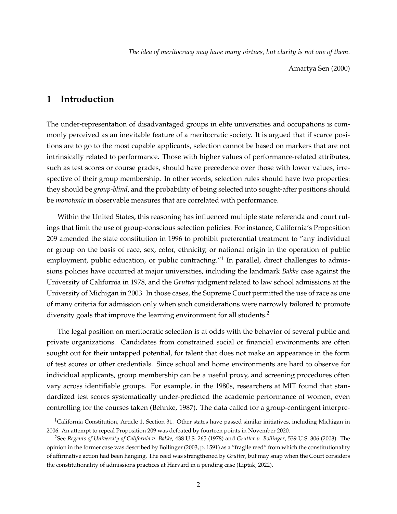*The idea of meritocracy may have many virtues, but clarity is not one of them.*

Amartya Sen (2000)

# **1 Introduction**

The under-representation of disadvantaged groups in elite universities and occupations is commonly perceived as an inevitable feature of a meritocratic society. It is argued that if scarce positions are to go to the most capable applicants, selection cannot be based on markers that are not intrinsically related to performance. Those with higher values of performance-related attributes, such as test scores or course grades, should have precedence over those with lower values, irrespective of their group membership. In other words, selection rules should have two properties: they should be *group-blind*, and the probability of being selected into sought-after positions should be *monotonic* in observable measures that are correlated with performance.

Within the United States, this reasoning has influenced multiple state referenda and court rulings that limit the use of group-conscious selection policies. For instance, California's Proposition 209 amended the state constitution in 1996 to prohibit preferential treatment to "any individual or group on the basis of race, sex, color, ethnicity, or national origin in the operation of public employment, public education, or public contracting."<sup>1</sup> In parallel, direct challenges to admissions policies have occurred at major universities, including the landmark *Bakke* case against the University of California in 1978, and the *Grutter* judgment related to law school admissions at the University of Michigan in 2003. In those cases, the Supreme Court permitted the use of race as one of many criteria for admission only when such considerations were narrowly tailored to promote diversity goals that improve the learning environment for all students.<sup>2</sup>

The legal position on meritocratic selection is at odds with the behavior of several public and private organizations. Candidates from constrained social or financial environments are often sought out for their untapped potential, for talent that does not make an appearance in the form of test scores or other credentials. Since school and home environments are hard to observe for individual applicants, group membership can be a useful proxy, and screening procedures often vary across identifiable groups. For example, in the 1980s, researchers at MIT found that standardized test scores systematically under-predicted the academic performance of women, even controlling for the courses taken (Behnke, 1987). The data called for a group-contingent interpre-

<sup>&</sup>lt;sup>1</sup>California Constitution, Article 1, Section 31. Other states have passed similar initiatives, including Michigan in 2006. An attempt to repeal Proposition 209 was defeated by fourteen points in November 2020.

<sup>2</sup>See *Regents of University of California v. Bakke*, 438 U.S. 265 (1978) and *Grutter v. Bollinger*, 539 U.S. 306 (2003). The opinion in the former case was described by Bollinger (2003, p. 1591) as a "fragile reed" from which the constitutionality of affirmative action had been hanging. The reed was strengthened by *Grutter*, but may snap when the Court considers the constitutionality of admissions practices at Harvard in a pending case (Liptak, 2022).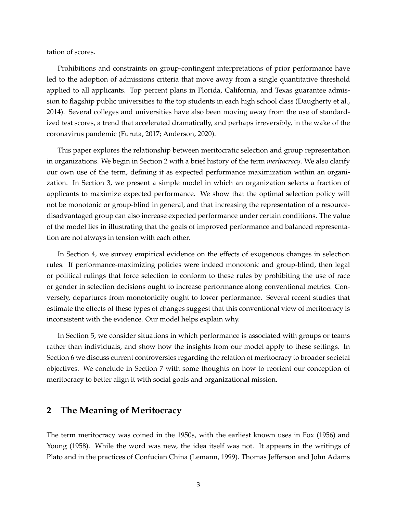tation of scores.

Prohibitions and constraints on group-contingent interpretations of prior performance have led to the adoption of admissions criteria that move away from a single quantitative threshold applied to all applicants. Top percent plans in Florida, California, and Texas guarantee admission to flagship public universities to the top students in each high school class (Daugherty et al., 2014). Several colleges and universities have also been moving away from the use of standardized test scores, a trend that accelerated dramatically, and perhaps irreversibly, in the wake of the coronavirus pandemic (Furuta, 2017; Anderson, 2020).

This paper explores the relationship between meritocratic selection and group representation in organizations. We begin in Section 2 with a brief history of the term *meritocracy*. We also clarify our own use of the term, defining it as expected performance maximization within an organization. In Section 3, we present a simple model in which an organization selects a fraction of applicants to maximize expected performance. We show that the optimal selection policy will not be monotonic or group-blind in general, and that increasing the representation of a resourcedisadvantaged group can also increase expected performance under certain conditions. The value of the model lies in illustrating that the goals of improved performance and balanced representation are not always in tension with each other.

In Section 4, we survey empirical evidence on the effects of exogenous changes in selection rules. If performance-maximizing policies were indeed monotonic and group-blind, then legal or political rulings that force selection to conform to these rules by prohibiting the use of race or gender in selection decisions ought to increase performance along conventional metrics. Conversely, departures from monotonicity ought to lower performance. Several recent studies that estimate the effects of these types of changes suggest that this conventional view of meritocracy is inconsistent with the evidence. Our model helps explain why.

In Section 5, we consider situations in which performance is associated with groups or teams rather than individuals, and show how the insights from our model apply to these settings. In Section 6 we discuss current controversies regarding the relation of meritocracy to broader societal objectives. We conclude in Section 7 with some thoughts on how to reorient our conception of meritocracy to better align it with social goals and organizational mission.

#### **2 The Meaning of Meritocracy**

The term meritocracy was coined in the 1950s, with the earliest known uses in Fox (1956) and Young (1958). While the word was new, the idea itself was not. It appears in the writings of Plato and in the practices of Confucian China (Lemann, 1999). Thomas Jefferson and John Adams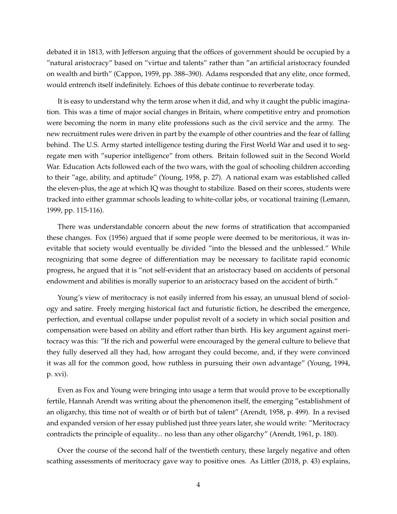debated it in 1813, with Jefferson arguing that the offices of government should be occupied by a "natural aristocracy" based on "virtue and talents" rather than "an artificial aristocracy founded on wealth and birth" (Cappon, 1959, pp. 388–390). Adams responded that any elite, once formed, would entrench itself indefinitely. Echoes of this debate continue to reverberate today.

It is easy to understand why the term arose when it did, and why it caught the public imagination. This was a time of major social changes in Britain, where competitive entry and promotion were becoming the norm in many elite professions such as the civil service and the army. The new recruitment rules were driven in part by the example of other countries and the fear of falling behind. The U.S. Army started intelligence testing during the First World War and used it to segregate men with "superior intelligence" from others. Britain followed suit in the Second World War. Education Acts followed each of the two wars, with the goal of schooling children according to their "age, ability, and aptitude" (Young, 1958, p. 27). A national exam was established called the eleven-plus, the age at which IQ was thought to stabilize. Based on their scores, students were tracked into either grammar schools leading to white-collar jobs, or vocational training (Lemann, 1999, pp. 115-116).

There was understandable concern about the new forms of stratification that accompanied these changes. Fox (1956) argued that if some people were deemed to be meritorious, it was inevitable that society would eventually be divided "into the blessed and the unblessed." While recognizing that some degree of differentiation may be necessary to facilitate rapid economic progress, he argued that it is "not self-evident that an aristocracy based on accidents of personal endowment and abilities is morally superior to an aristocracy based on the accident of birth."

Young's view of meritocracy is not easily inferred from his essay, an unusual blend of sociology and satire. Freely merging historical fact and futuristic fiction, he described the emergence, perfection, and eventual collapse under populist revolt of a society in which social position and compensation were based on ability and effort rather than birth. His key argument against meritocracy was this: "If the rich and powerful were encouraged by the general culture to believe that they fully deserved all they had, how arrogant they could become, and, if they were convinced it was all for the common good, how ruthless in pursuing their own advantage" (Young, 1994, p. xvi).

Even as Fox and Young were bringing into usage a term that would prove to be exceptionally fertile, Hannah Arendt was writing about the phenomenon itself, the emerging "establishment of an oligarchy, this time not of wealth or of birth but of talent" (Arendt, 1958, p. 499). In a revised and expanded version of her essay published just three years later, she would write: "Meritocracy contradicts the principle of equality... no less than any other oligarchy" (Arendt, 1961, p. 180).

Over the course of the second half of the twentieth century, these largely negative and often scathing assessments of meritocracy gave way to positive ones. As Littler (2018, p. 43) explains,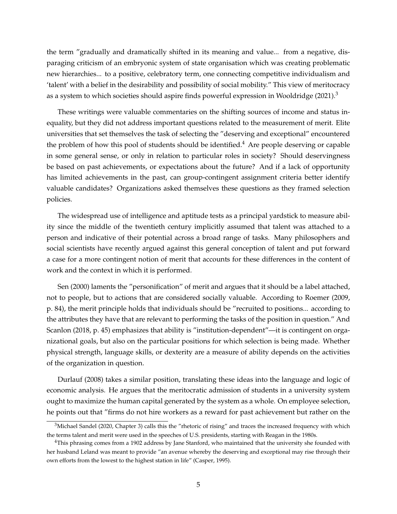the term "gradually and dramatically shifted in its meaning and value... from a negative, disparaging criticism of an embryonic system of state organisation which was creating problematic new hierarchies... to a positive, celebratory term, one connecting competitive individualism and 'talent' with a belief in the desirability and possibility of social mobility." This view of meritocracy as a system to which societies should aspire finds powerful expression in Wooldridge  $(2021)^3$ 

These writings were valuable commentaries on the shifting sources of income and status inequality, but they did not address important questions related to the measurement of merit. Elite universities that set themselves the task of selecting the "deserving and exceptional" encountered the problem of how this pool of students should be identified.<sup>4</sup> Are people deserving or capable in some general sense, or only in relation to particular roles in society? Should deservingness be based on past achievements, or expectations about the future? And if a lack of opportunity has limited achievements in the past, can group-contingent assignment criteria better identify valuable candidates? Organizations asked themselves these questions as they framed selection policies.

The widespread use of intelligence and aptitude tests as a principal yardstick to measure ability since the middle of the twentieth century implicitly assumed that talent was attached to a person and indicative of their potential across a broad range of tasks. Many philosophers and social scientists have recently argued against this general conception of talent and put forward a case for a more contingent notion of merit that accounts for these differences in the content of work and the context in which it is performed.

Sen (2000) laments the "personification" of merit and argues that it should be a label attached, not to people, but to actions that are considered socially valuable. According to Roemer (2009, p. 84), the merit principle holds that individuals should be "recruited to positions... according to the attributes they have that are relevant to performing the tasks of the position in question." And Scanlon (2018, p. 45) emphasizes that ability is "institution-dependent"—it is contingent on organizational goals, but also on the particular positions for which selection is being made. Whether physical strength, language skills, or dexterity are a measure of ability depends on the activities of the organization in question.

Durlauf (2008) takes a similar position, translating these ideas into the language and logic of economic analysis. He argues that the meritocratic admission of students in a university system ought to maximize the human capital generated by the system as a whole. On employee selection, he points out that "firms do not hire workers as a reward for past achievement but rather on the

<sup>&</sup>lt;sup>3</sup>Michael Sandel (2020, Chapter 3) calls this the "rhetoric of rising" and traces the increased frequency with which the terms talent and merit were used in the speeches of U.S. presidents, starting with Reagan in the 1980s.

<sup>4</sup>This phrasing comes from a 1902 address by Jane Stanford, who maintained that the university she founded with her husband Leland was meant to provide "an avenue whereby the deserving and exceptional may rise through their own efforts from the lowest to the highest station in life" (Casper, 1995).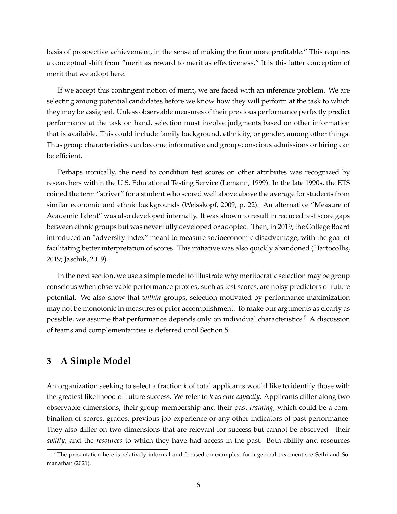basis of prospective achievement, in the sense of making the firm more profitable." This requires a conceptual shift from "merit as reward to merit as effectiveness." It is this latter conception of merit that we adopt here.

If we accept this contingent notion of merit, we are faced with an inference problem. We are selecting among potential candidates before we know how they will perform at the task to which they may be assigned. Unless observable measures of their previous performance perfectly predict performance at the task on hand, selection must involve judgments based on other information that is available. This could include family background, ethnicity, or gender, among other things. Thus group characteristics can become informative and group-conscious admissions or hiring can be efficient.

Perhaps ironically, the need to condition test scores on other attributes was recognized by researchers within the U.S. Educational Testing Service (Lemann, 1999). In the late 1990s, the ETS coined the term "striver" for a student who scored well above above the average for students from similar economic and ethnic backgrounds (Weisskopf, 2009, p. 22). An alternative "Measure of Academic Talent" was also developed internally. It was shown to result in reduced test score gaps between ethnic groups but was never fully developed or adopted. Then, in 2019, the College Board introduced an "adversity index" meant to measure socioeconomic disadvantage, with the goal of facilitating better interpretation of scores. This initiative was also quickly abandoned (Hartocollis, 2019; Jaschik, 2019).

In the next section, we use a simple model to illustrate why meritocratic selection may be group conscious when observable performance proxies, such as test scores, are noisy predictors of future potential. We also show that *within* groups, selection motivated by performance-maximization may not be monotonic in measures of prior accomplishment. To make our arguments as clearly as possible, we assume that performance depends only on individual characteristics.<sup>5</sup> A discussion of teams and complementarities is deferred until Section 5.

# **3 A Simple Model**

An organization seeking to select a fraction *k* of total applicants would like to identify those with the greatest likelihood of future success. We refer to *k* as *elite capacity*. Applicants differ along two observable dimensions, their group membership and their past *training*, which could be a combination of scores, grades, previous job experience or any other indicators of past performance. They also differ on two dimensions that are relevant for success but cannot be observed—their *ability*, and the *resources* to which they have had access in the past. Both ability and resources

 $5$ The presentation here is relatively informal and focused on examples; for a general treatment see Sethi and Somanathan (2021).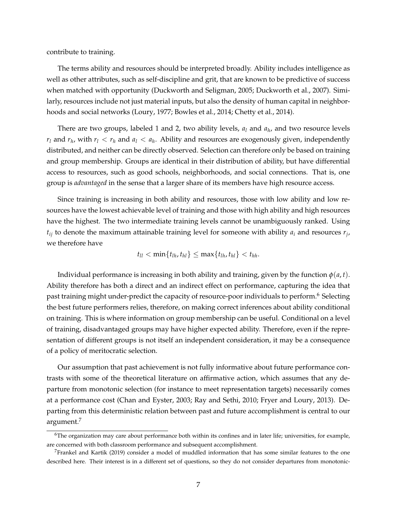contribute to training.

The terms ability and resources should be interpreted broadly. Ability includes intelligence as well as other attributes, such as self-discipline and grit, that are known to be predictive of success when matched with opportunity (Duckworth and Seligman, 2005; Duckworth et al., 2007). Similarly, resources include not just material inputs, but also the density of human capital in neighborhoods and social networks (Loury, 1977; Bowles et al., 2014; Chetty et al., 2014).

There are two groups, labeled 1 and 2, two ability levels, *a<sup>l</sup>* and *a<sup>h</sup>* , and two resource levels  $r_l$  and  $r_h$ , with  $r_l < r_h$  and  $a_l < a_h$ . Ability and resources are exogenously given, independently distributed, and neither can be directly observed. Selection can therefore only be based on training and group membership. Groups are identical in their distribution of ability, but have differential access to resources, such as good schools, neighborhoods, and social connections. That is, one group is *advantaged* in the sense that a larger share of its members have high resource access.

Since training is increasing in both ability and resources, those with low ability and low resources have the lowest achievable level of training and those with high ability and high resources have the highest. The two intermediate training levels cannot be unambiguously ranked. Using *tij* to denote the maximum attainable training level for someone with ability *a<sup>i</sup>* and resources *r<sup>j</sup>* , we therefore have

$$
t_{ll} < \min\{t_{lh}, t_{hl}\} \le \max\{t_{lh}, t_{hl}\} < t_{hh}.
$$

Individual performance is increasing in both ability and training, given by the function  $\varphi$ (*a*, *t*). Ability therefore has both a direct and an indirect effect on performance, capturing the idea that past training might under-predict the capacity of resource-poor individuals to perform.<sup>6</sup> Selecting the best future performers relies, therefore, on making correct inferences about ability conditional on training. This is where information on group membership can be useful. Conditional on a level of training, disadvantaged groups may have higher expected ability. Therefore, even if the representation of different groups is not itself an independent consideration, it may be a consequence of a policy of meritocratic selection.

Our assumption that past achievement is not fully informative about future performance contrasts with some of the theoretical literature on affirmative action, which assumes that any departure from monotonic selection (for instance to meet representation targets) necessarily comes at a performance cost (Chan and Eyster, 2003; Ray and Sethi, 2010; Fryer and Loury, 2013). Departing from this deterministic relation between past and future accomplishment is central to our argument.<sup>7</sup>

<sup>&</sup>lt;sup>6</sup>The organization may care about performance both within its confines and in later life; universities, for example, are concerned with both classroom performance and subsequent accomplishment.

<sup>7</sup>Frankel and Kartik (2019) consider a model of muddled information that has some similar features to the one described here. Their interest is in a different set of questions, so they do not consider departures from monotonic-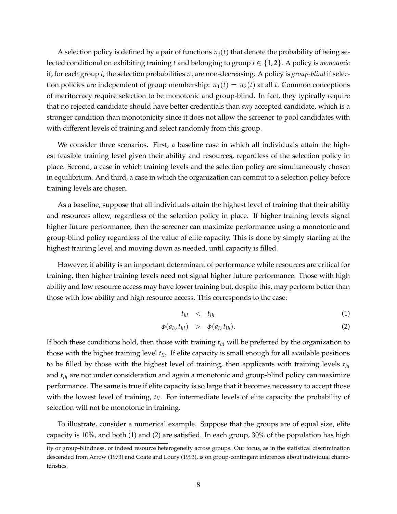A selection policy is defined by a pair of functions  $\pi_i(t)$  that denote the probability of being selected conditional on exhibiting training *t* and belonging to group *i* ∈ {1, 2}. A policy is *monotonic* if, for each group *i*, the selection probabilities  $\pi_i$  are non-decreasing. A policy is *group-blind* if selection policies are independent of group membership:  $\pi_1(t) = \pi_2(t)$  at all *t*. Common conceptions of meritocracy require selection to be monotonic and group-blind. In fact, they typically require that no rejected candidate should have better credentials than *any* accepted candidate, which is a stronger condition than monotonicity since it does not allow the screener to pool candidates with with different levels of training and select randomly from this group.

We consider three scenarios. First, a baseline case in which all individuals attain the highest feasible training level given their ability and resources, regardless of the selection policy in place. Second, a case in which training levels and the selection policy are simultaneously chosen in equilibrium. And third, a case in which the organization can commit to a selection policy before training levels are chosen.

As a baseline, suppose that all individuals attain the highest level of training that their ability and resources allow, regardless of the selection policy in place. If higher training levels signal higher future performance, then the screener can maximize performance using a monotonic and group-blind policy regardless of the value of elite capacity. This is done by simply starting at the highest training level and moving down as needed, until capacity is filled.

However, if ability is an important determinant of performance while resources are critical for training, then higher training levels need not signal higher future performance. Those with high ability and low resource access may have lower training but, despite this, may perform better than those with low ability and high resource access. This corresponds to the case:

$$
t_{hl} \quad < \quad t_{lh} \tag{1}
$$

$$
\phi(a_h, t_{hl}) \quad > \quad \phi(a_l, t_{lh}). \tag{2}
$$

If both these conditions hold, then those with training *thl* will be preferred by the organization to those with the higher training level *tlh*. If elite capacity is small enough for all available positions to be filled by those with the highest level of training, then applicants with training levels *thl* and *tlh* are not under consideration and again a monotonic and group-blind policy can maximize performance. The same is true if elite capacity is so large that it becomes necessary to accept those with the lowest level of training, *tll*. For intermediate levels of elite capacity the probability of selection will not be monotonic in training.

To illustrate, consider a numerical example. Suppose that the groups are of equal size, elite capacity is 10%, and both (1) and (2) are satisfied. In each group, 30% of the population has high

ity or group-blindness, or indeed resource heterogeneity across groups. Our focus, as in the statistical discrimination descended from Arrow (1973) and Coate and Loury (1993), is on group-contingent inferences about individual characteristics.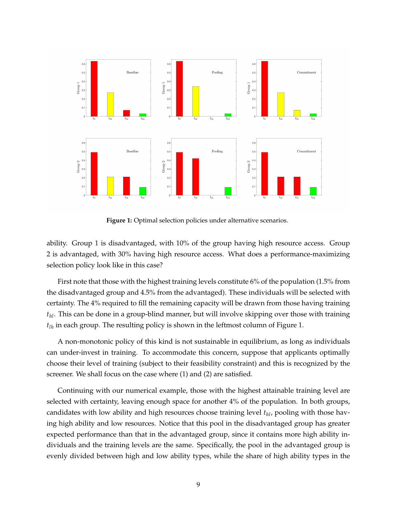

**Figure 1:** Optimal selection policies under alternative scenarios.

ability. Group 1 is disadvantaged, with 10% of the group having high resource access. Group 2 is advantaged, with 30% having high resource access. What does a performance-maximizing selection policy look like in this case?

First note that those with the highest training levels constitute 6% of the population (1.5% from the disadvantaged group and 4.5% from the advantaged). These individuals will be selected with certainty. The 4% required to fill the remaining capacity will be drawn from those having training *thl*. This can be done in a group-blind manner, but will involve skipping over those with training *tlh* in each group. The resulting policy is shown in the leftmost column of Figure 1.

A non-monotonic policy of this kind is not sustainable in equilibrium, as long as individuals can under-invest in training. To accommodate this concern, suppose that applicants optimally choose their level of training (subject to their feasibility constraint) and this is recognized by the screener. We shall focus on the case where (1) and (2) are satisfied.

Continuing with our numerical example, those with the highest attainable training level are selected with certainty, leaving enough space for another 4% of the population. In both groups, candidates with low ability and high resources choose training level *thl*, pooling with those having high ability and low resources. Notice that this pool in the disadvantaged group has greater expected performance than that in the advantaged group, since it contains more high ability individuals and the training levels are the same. Specifically, the pool in the advantaged group is evenly divided between high and low ability types, while the share of high ability types in the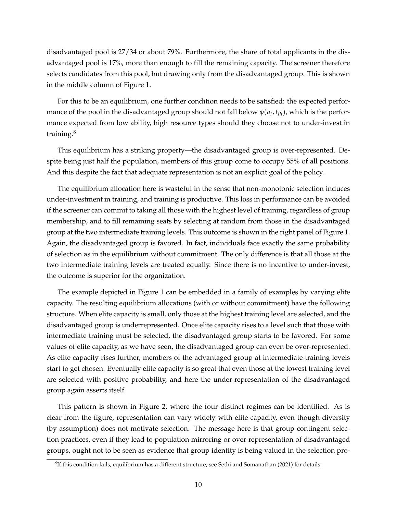disadvantaged pool is 27/34 or about 79%. Furthermore, the share of total applicants in the disadvantaged pool is 17%, more than enough to fill the remaining capacity. The screener therefore selects candidates from this pool, but drawing only from the disadvantaged group. This is shown in the middle column of Figure 1.

For this to be an equilibrium, one further condition needs to be satisfied: the expected performance of the pool in the disadvantaged group should not fall below  $\phi(a_l,t_{lh})$ , which is the performance expected from low ability, high resource types should they choose not to under-invest in training.<sup>8</sup>

This equilibrium has a striking property—the disadvantaged group is over-represented. Despite being just half the population, members of this group come to occupy 55% of all positions. And this despite the fact that adequate representation is not an explicit goal of the policy.

The equilibrium allocation here is wasteful in the sense that non-monotonic selection induces under-investment in training, and training is productive. This loss in performance can be avoided if the screener can commit to taking all those with the highest level of training, regardless of group membership, and to fill remaining seats by selecting at random from those in the disadvantaged group at the two intermediate training levels. This outcome is shown in the right panel of Figure 1. Again, the disadvantaged group is favored. In fact, individuals face exactly the same probability of selection as in the equilibrium without commitment. The only difference is that all those at the two intermediate training levels are treated equally. Since there is no incentive to under-invest, the outcome is superior for the organization.

The example depicted in Figure 1 can be embedded in a family of examples by varying elite capacity. The resulting equilibrium allocations (with or without commitment) have the following structure. When elite capacity is small, only those at the highest training level are selected, and the disadvantaged group is underrepresented. Once elite capacity rises to a level such that those with intermediate training must be selected, the disadvantaged group starts to be favored. For some values of elite capacity, as we have seen, the disadvantaged group can even be over-represented. As elite capacity rises further, members of the advantaged group at intermediate training levels start to get chosen. Eventually elite capacity is so great that even those at the lowest training level are selected with positive probability, and here the under-representation of the disadvantaged group again asserts itself.

This pattern is shown in Figure 2, where the four distinct regimes can be identified. As is clear from the figure, representation can vary widely with elite capacity, even though diversity (by assumption) does not motivate selection. The message here is that group contingent selection practices, even if they lead to population mirroring or over-representation of disadvantaged groups, ought not to be seen as evidence that group identity is being valued in the selection pro-

 ${}^{8}$ If this condition fails, equilibrium has a different structure; see Sethi and Somanathan (2021) for details.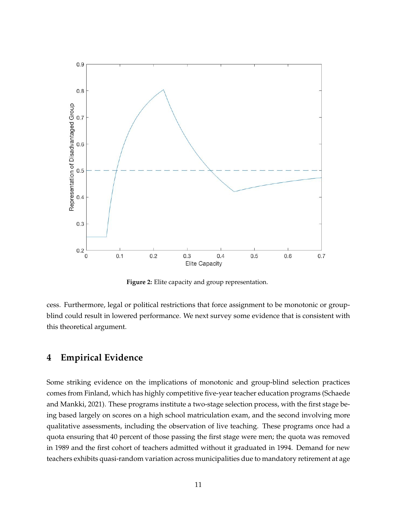

**Figure 2:** Elite capacity and group representation.

cess. Furthermore, legal or political restrictions that force assignment to be monotonic or groupblind could result in lowered performance. We next survey some evidence that is consistent with this theoretical argument.

# **4 Empirical Evidence**

Some striking evidence on the implications of monotonic and group-blind selection practices comes from Finland, which has highly competitive five-year teacher education programs (Schaede and Mankki, 2021). These programs institute a two-stage selection process, with the first stage being based largely on scores on a high school matriculation exam, and the second involving more qualitative assessments, including the observation of live teaching. These programs once had a quota ensuring that 40 percent of those passing the first stage were men; the quota was removed in 1989 and the first cohort of teachers admitted without it graduated in 1994. Demand for new teachers exhibits quasi-random variation across municipalities due to mandatory retirement at age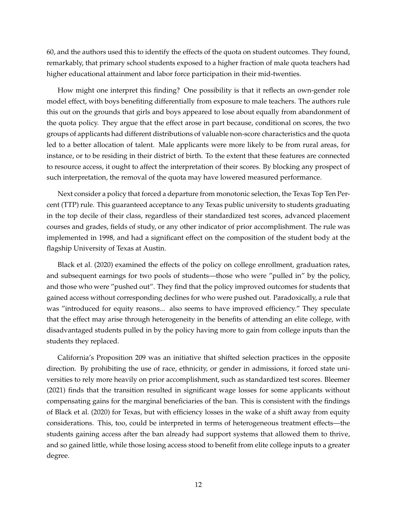60, and the authors used this to identify the effects of the quota on student outcomes. They found, remarkably, that primary school students exposed to a higher fraction of male quota teachers had higher educational attainment and labor force participation in their mid-twenties.

How might one interpret this finding? One possibility is that it reflects an own-gender role model effect, with boys benefiting differentially from exposure to male teachers. The authors rule this out on the grounds that girls and boys appeared to lose about equally from abandonment of the quota policy. They argue that the effect arose in part because, conditional on scores, the two groups of applicants had different distributions of valuable non-score characteristics and the quota led to a better allocation of talent. Male applicants were more likely to be from rural areas, for instance, or to be residing in their district of birth. To the extent that these features are connected to resource access, it ought to affect the interpretation of their scores. By blocking any prospect of such interpretation, the removal of the quota may have lowered measured performance.

Next consider a policy that forced a departure from monotonic selection, the Texas Top Ten Percent (TTP) rule. This guaranteed acceptance to any Texas public university to students graduating in the top decile of their class, regardless of their standardized test scores, advanced placement courses and grades, fields of study, or any other indicator of prior accomplishment. The rule was implemented in 1998, and had a significant effect on the composition of the student body at the flagship University of Texas at Austin.

Black et al. (2020) examined the effects of the policy on college enrollment, graduation rates, and subsequent earnings for two pools of students—those who were "pulled in" by the policy, and those who were "pushed out". They find that the policy improved outcomes for students that gained access without corresponding declines for who were pushed out. Paradoxically, a rule that was "introduced for equity reasons... also seems to have improved efficiency." They speculate that the effect may arise through heterogeneity in the benefits of attending an elite college, with disadvantaged students pulled in by the policy having more to gain from college inputs than the students they replaced.

California's Proposition 209 was an initiative that shifted selection practices in the opposite direction. By prohibiting the use of race, ethnicity, or gender in admissions, it forced state universities to rely more heavily on prior accomplishment, such as standardized test scores. Bleemer (2021) finds that the transition resulted in significant wage losses for some applicants without compensating gains for the marginal beneficiaries of the ban. This is consistent with the findings of Black et al. (2020) for Texas, but with efficiency losses in the wake of a shift away from equity considerations. This, too, could be interpreted in terms of heterogeneous treatment effects—the students gaining access after the ban already had support systems that allowed them to thrive, and so gained little, while those losing access stood to benefit from elite college inputs to a greater degree.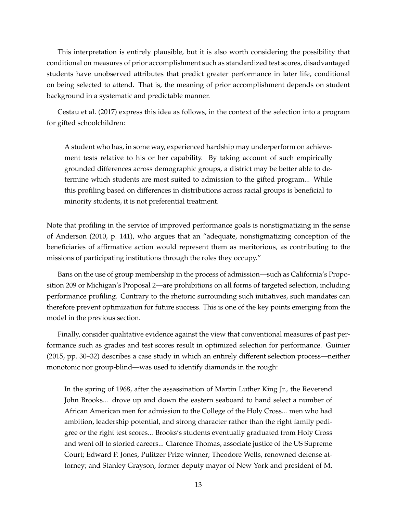This interpretation is entirely plausible, but it is also worth considering the possibility that conditional on measures of prior accomplishment such as standardized test scores, disadvantaged students have unobserved attributes that predict greater performance in later life, conditional on being selected to attend. That is, the meaning of prior accomplishment depends on student background in a systematic and predictable manner.

Cestau et al. (2017) express this idea as follows, in the context of the selection into a program for gifted schoolchildren:

A student who has, in some way, experienced hardship may underperform on achievement tests relative to his or her capability. By taking account of such empirically grounded differences across demographic groups, a district may be better able to determine which students are most suited to admission to the gifted program... While this profiling based on differences in distributions across racial groups is beneficial to minority students, it is not preferential treatment.

Note that profiling in the service of improved performance goals is nonstigmatizing in the sense of Anderson (2010, p. 141), who argues that an "adequate, nonstigmatizing conception of the beneficiaries of affirmative action would represent them as meritorious, as contributing to the missions of participating institutions through the roles they occupy."

Bans on the use of group membership in the process of admission—such as California's Proposition 209 or Michigan's Proposal 2—are prohibitions on all forms of targeted selection, including performance profiling. Contrary to the rhetoric surrounding such initiatives, such mandates can therefore prevent optimization for future success. This is one of the key points emerging from the model in the previous section.

Finally, consider qualitative evidence against the view that conventional measures of past performance such as grades and test scores result in optimized selection for performance. Guinier (2015, pp. 30–32) describes a case study in which an entirely different selection process—neither monotonic nor group-blind—was used to identify diamonds in the rough:

In the spring of 1968, after the assassination of Martin Luther King Jr., the Reverend John Brooks... drove up and down the eastern seaboard to hand select a number of African American men for admission to the College of the Holy Cross... men who had ambition, leadership potential, and strong character rather than the right family pedigree or the right test scores... Brooks's students eventually graduated from Holy Cross and went off to storied careers... Clarence Thomas, associate justice of the US Supreme Court; Edward P. Jones, Pulitzer Prize winner; Theodore Wells, renowned defense attorney; and Stanley Grayson, former deputy mayor of New York and president of M.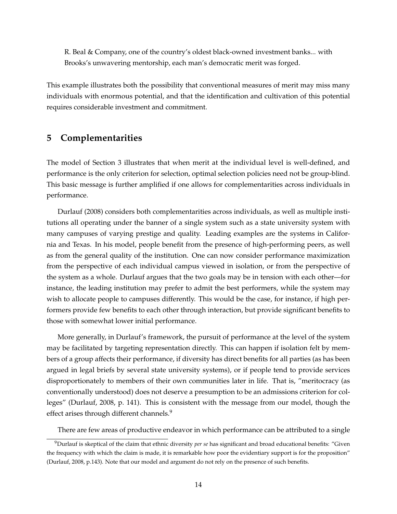R. Beal & Company, one of the country's oldest black-owned investment banks... with Brooks's unwavering mentorship, each man's democratic merit was forged.

This example illustrates both the possibility that conventional measures of merit may miss many individuals with enormous potential, and that the identification and cultivation of this potential requires considerable investment and commitment.

# **5 Complementarities**

The model of Section 3 illustrates that when merit at the individual level is well-defined, and performance is the only criterion for selection, optimal selection policies need not be group-blind. This basic message is further amplified if one allows for complementarities across individuals in performance.

Durlauf (2008) considers both complementarities across individuals, as well as multiple institutions all operating under the banner of a single system such as a state university system with many campuses of varying prestige and quality. Leading examples are the systems in California and Texas. In his model, people benefit from the presence of high-performing peers, as well as from the general quality of the institution. One can now consider performance maximization from the perspective of each individual campus viewed in isolation, or from the perspective of the system as a whole. Durlauf argues that the two goals may be in tension with each other—for instance, the leading institution may prefer to admit the best performers, while the system may wish to allocate people to campuses differently. This would be the case, for instance, if high performers provide few benefits to each other through interaction, but provide significant benefits to those with somewhat lower initial performance.

More generally, in Durlauf's framework, the pursuit of performance at the level of the system may be facilitated by targeting representation directly. This can happen if isolation felt by members of a group affects their performance, if diversity has direct benefits for all parties (as has been argued in legal briefs by several state university systems), or if people tend to provide services disproportionately to members of their own communities later in life. That is, "meritocracy (as conventionally understood) does not deserve a presumption to be an admissions criterion for colleges" (Durlauf, 2008, p. 141). This is consistent with the message from our model, though the effect arises through different channels.<sup>9</sup>

There are few areas of productive endeavor in which performance can be attributed to a single

<sup>9</sup>Durlauf is skeptical of the claim that ethnic diversity *per se* has significant and broad educational benefits: "Given the frequency with which the claim is made, it is remarkable how poor the evidentiary support is for the proposition" (Durlauf, 2008, p.143). Note that our model and argument do not rely on the presence of such benefits.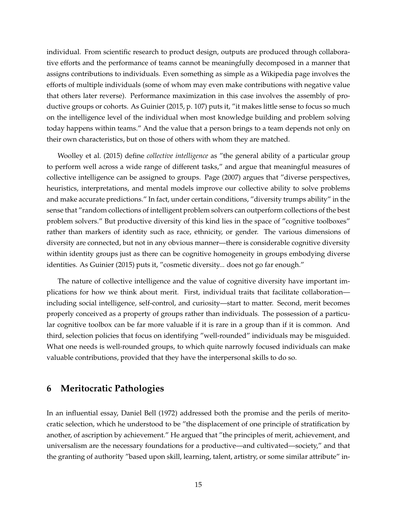individual. From scientific research to product design, outputs are produced through collaborative efforts and the performance of teams cannot be meaningfully decomposed in a manner that assigns contributions to individuals. Even something as simple as a Wikipedia page involves the efforts of multiple individuals (some of whom may even make contributions with negative value that others later reverse). Performance maximization in this case involves the assembly of productive groups or cohorts. As Guinier (2015, p. 107) puts it, "it makes little sense to focus so much on the intelligence level of the individual when most knowledge building and problem solving today happens within teams." And the value that a person brings to a team depends not only on their own characteristics, but on those of others with whom they are matched.

Woolley et al. (2015) define *collective intelligence* as "the general ability of a particular group to perform well across a wide range of different tasks," and argue that meaningful measures of collective intelligence can be assigned to groups. Page (2007) argues that "diverse perspectives, heuristics, interpretations, and mental models improve our collective ability to solve problems and make accurate predictions." In fact, under certain conditions, "diversity trumps ability" in the sense that "random collections of intelligent problem solvers can outperform collections of the best problem solvers." But productive diversity of this kind lies in the space of "cognitive toolboxes" rather than markers of identity such as race, ethnicity, or gender. The various dimensions of diversity are connected, but not in any obvious manner—there is considerable cognitive diversity within identity groups just as there can be cognitive homogeneity in groups embodying diverse identities. As Guinier (2015) puts it, "cosmetic diversity... does not go far enough."

The nature of collective intelligence and the value of cognitive diversity have important implications for how we think about merit. First, individual traits that facilitate collaboration including social intelligence, self-control, and curiosity—start to matter. Second, merit becomes properly conceived as a property of groups rather than individuals. The possession of a particular cognitive toolbox can be far more valuable if it is rare in a group than if it is common. And third, selection policies that focus on identifying "well-rounded" individuals may be misguided. What one needs is well-rounded groups, to which quite narrowly focused individuals can make valuable contributions, provided that they have the interpersonal skills to do so.

# **6 Meritocratic Pathologies**

In an influential essay, Daniel Bell (1972) addressed both the promise and the perils of meritocratic selection, which he understood to be "the displacement of one principle of stratification by another, of ascription by achievement." He argued that "the principles of merit, achievement, and universalism are the necessary foundations for a productive—and cultivated—society," and that the granting of authority "based upon skill, learning, talent, artistry, or some similar attribute" in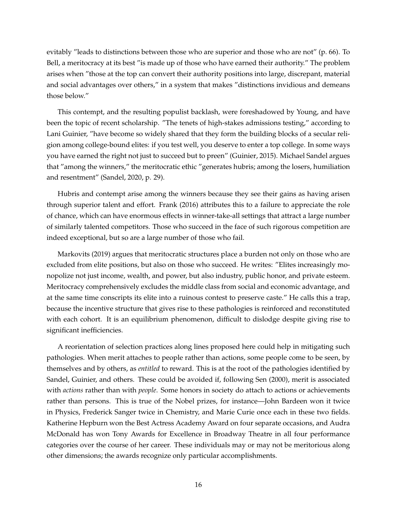evitably "leads to distinctions between those who are superior and those who are not" (p. 66). To Bell, a meritocracy at its best "is made up of those who have earned their authority." The problem arises when "those at the top can convert their authority positions into large, discrepant, material and social advantages over others," in a system that makes "distinctions invidious and demeans those below."

This contempt, and the resulting populist backlash, were foreshadowed by Young, and have been the topic of recent scholarship. "The tenets of high-stakes admissions testing," according to Lani Guinier, "have become so widely shared that they form the building blocks of a secular religion among college-bound elites: if you test well, you deserve to enter a top college. In some ways you have earned the right not just to succeed but to preen" (Guinier, 2015). Michael Sandel argues that "among the winners," the meritocratic ethic "generates hubris; among the losers, humiliation and resentment" (Sandel, 2020, p. 29).

Hubris and contempt arise among the winners because they see their gains as having arisen through superior talent and effort. Frank (2016) attributes this to a failure to appreciate the role of chance, which can have enormous effects in winner-take-all settings that attract a large number of similarly talented competitors. Those who succeed in the face of such rigorous competition are indeed exceptional, but so are a large number of those who fail.

Markovits (2019) argues that meritocratic structures place a burden not only on those who are excluded from elite positions, but also on those who succeed. He writes: "Elites increasingly monopolize not just income, wealth, and power, but also industry, public honor, and private esteem. Meritocracy comprehensively excludes the middle class from social and economic advantage, and at the same time conscripts its elite into a ruinous contest to preserve caste." He calls this a trap, because the incentive structure that gives rise to these pathologies is reinforced and reconstituted with each cohort. It is an equilibrium phenomenon, difficult to dislodge despite giving rise to significant inefficiencies.

A reorientation of selection practices along lines proposed here could help in mitigating such pathologies. When merit attaches to people rather than actions, some people come to be seen, by themselves and by others, as *entitled* to reward. This is at the root of the pathologies identified by Sandel, Guinier, and others. These could be avoided if, following Sen (2000), merit is associated with *actions* rather than with *people*. Some honors in society do attach to actions or achievements rather than persons. This is true of the Nobel prizes, for instance—John Bardeen won it twice in Physics, Frederick Sanger twice in Chemistry, and Marie Curie once each in these two fields. Katherine Hepburn won the Best Actress Academy Award on four separate occasions, and Audra McDonald has won Tony Awards for Excellence in Broadway Theatre in all four performance categories over the course of her career. These individuals may or may not be meritorious along other dimensions; the awards recognize only particular accomplishments.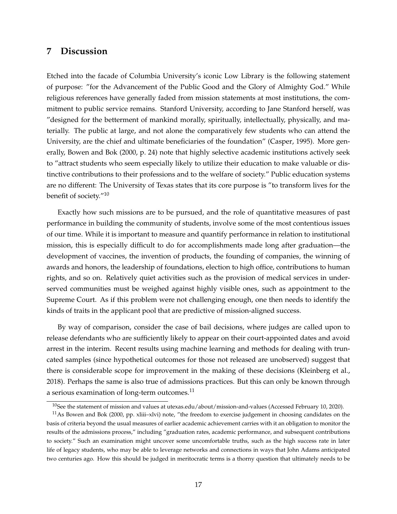# **7 Discussion**

Etched into the facade of Columbia University's iconic Low Library is the following statement of purpose: "for the Advancement of the Public Good and the Glory of Almighty God." While religious references have generally faded from mission statements at most institutions, the commitment to public service remains. Stanford University, according to Jane Stanford herself, was "designed for the betterment of mankind morally, spiritually, intellectually, physically, and materially. The public at large, and not alone the comparatively few students who can attend the University, are the chief and ultimate beneficiaries of the foundation" (Casper, 1995). More generally, Bowen and Bok (2000, p. 24) note that highly selective academic institutions actively seek to "attract students who seem especially likely to utilize their education to make valuable or distinctive contributions to their professions and to the welfare of society." Public education systems are no different: The University of Texas states that its core purpose is "to transform lives for the benefit of society."<sup>10</sup>

Exactly how such missions are to be pursued, and the role of quantitative measures of past performance in building the community of students, involve some of the most contentious issues of our time. While it is important to measure and quantify performance in relation to institutional mission, this is especially difficult to do for accomplishments made long after graduation—the development of vaccines, the invention of products, the founding of companies, the winning of awards and honors, the leadership of foundations, election to high office, contributions to human rights, and so on. Relatively quiet activities such as the provision of medical services in underserved communities must be weighed against highly visible ones, such as appointment to the Supreme Court. As if this problem were not challenging enough, one then needs to identify the kinds of traits in the applicant pool that are predictive of mission-aligned success.

By way of comparison, consider the case of bail decisions, where judges are called upon to release defendants who are sufficiently likely to appear on their court-appointed dates and avoid arrest in the interim. Recent results using machine learning and methods for dealing with truncated samples (since hypothetical outcomes for those not released are unobserved) suggest that there is considerable scope for improvement in the making of these decisions (Kleinberg et al., 2018). Perhaps the same is also true of admissions practices. But this can only be known through a serious examination of long-term outcomes.<sup>11</sup>

<sup>&</sup>lt;sup>10</sup>See the statement of mission and values at utexas.edu/about/mission-and-values (Accessed February 10, 2020).

 $11$ As Bowen and Bok (2000, pp. xliii–xlvi) note, "the freedom to exercise judgement in choosing candidates on the basis of criteria beyond the usual measures of earlier academic achievement carries with it an obligation to monitor the results of the admissions process," including "graduation rates, academic performance, and subsequent contributions to society." Such an examination might uncover some uncomfortable truths, such as the high success rate in later life of legacy students, who may be able to leverage networks and connections in ways that John Adams anticipated two centuries ago. How this should be judged in meritocratic terms is a thorny question that ultimately needs to be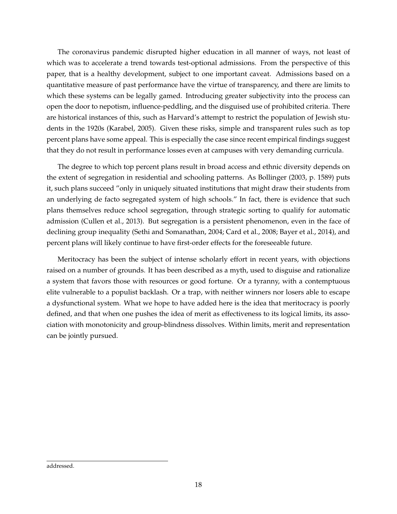The coronavirus pandemic disrupted higher education in all manner of ways, not least of which was to accelerate a trend towards test-optional admissions. From the perspective of this paper, that is a healthy development, subject to one important caveat. Admissions based on a quantitative measure of past performance have the virtue of transparency, and there are limits to which these systems can be legally gamed. Introducing greater subjectivity into the process can open the door to nepotism, influence-peddling, and the disguised use of prohibited criteria. There are historical instances of this, such as Harvard's attempt to restrict the population of Jewish students in the 1920s (Karabel, 2005). Given these risks, simple and transparent rules such as top percent plans have some appeal. This is especially the case since recent empirical findings suggest that they do not result in performance losses even at campuses with very demanding curricula.

The degree to which top percent plans result in broad access and ethnic diversity depends on the extent of segregation in residential and schooling patterns. As Bollinger (2003, p. 1589) puts it, such plans succeed "only in uniquely situated institutions that might draw their students from an underlying de facto segregated system of high schools." In fact, there is evidence that such plans themselves reduce school segregation, through strategic sorting to qualify for automatic admission (Cullen et al., 2013). But segregation is a persistent phenomenon, even in the face of declining group inequality (Sethi and Somanathan, 2004; Card et al., 2008; Bayer et al., 2014), and percent plans will likely continue to have first-order effects for the foreseeable future.

Meritocracy has been the subject of intense scholarly effort in recent years, with objections raised on a number of grounds. It has been described as a myth, used to disguise and rationalize a system that favors those with resources or good fortune. Or a tyranny, with a contemptuous elite vulnerable to a populist backlash. Or a trap, with neither winners nor losers able to escape a dysfunctional system. What we hope to have added here is the idea that meritocracy is poorly defined, and that when one pushes the idea of merit as effectiveness to its logical limits, its association with monotonicity and group-blindness dissolves. Within limits, merit and representation can be jointly pursued.

addressed.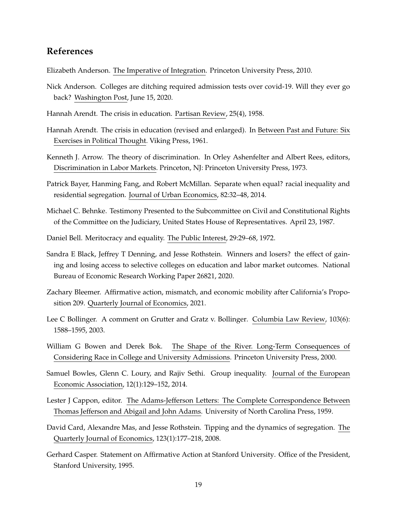# **References**

Elizabeth Anderson. The Imperative of Integration. Princeton University Press, 2010.

- Nick Anderson. Colleges are ditching required admission tests over covid-19. Will they ever go back? Washington Post, June 15, 2020.
- Hannah Arendt. The crisis in education. Partisan Review, 25(4), 1958.
- Hannah Arendt. The crisis in education (revised and enlarged). In Between Past and Future: Six Exercises in Political Thought. Viking Press, 1961.
- Kenneth J. Arrow. The theory of discrimination. In Orley Ashenfelter and Albert Rees, editors, Discrimination in Labor Markets. Princeton, NJ: Princeton University Press, 1973.
- Patrick Bayer, Hanming Fang, and Robert McMillan. Separate when equal? racial inequality and residential segregation. Journal of Urban Economics, 82:32–48, 2014.
- Michael C. Behnke. Testimony Presented to the Subcommittee on Civil and Constitutional Rights of the Committee on the Judiciary, United States House of Representatives. April 23, 1987.
- Daniel Bell. Meritocracy and equality. The Public Interest, 29:29–68, 1972.
- Sandra E Black, Jeffrey T Denning, and Jesse Rothstein. Winners and losers? the effect of gaining and losing access to selective colleges on education and labor market outcomes. National Bureau of Economic Research Working Paper 26821, 2020.
- Zachary Bleemer. Affirmative action, mismatch, and economic mobility after California's Proposition 209. Quarterly Journal of Economics, 2021.
- Lee C Bollinger. A comment on Grutter and Gratz v. Bollinger. Columbia Law Review, 103(6): 1588–1595, 2003.
- William G Bowen and Derek Bok. The Shape of the River. Long-Term Consequences of Considering Race in College and University Admissions. Princeton University Press, 2000.
- Samuel Bowles, Glenn C. Loury, and Rajiv Sethi. Group inequality. Journal of the European Economic Association, 12(1):129–152, 2014.
- Lester J Cappon, editor. The Adams-Jefferson Letters: The Complete Correspondence Between Thomas Jefferson and Abigail and John Adams. University of North Carolina Press, 1959.
- David Card, Alexandre Mas, and Jesse Rothstein. Tipping and the dynamics of segregation. The Quarterly Journal of Economics, 123(1):177–218, 2008.
- Gerhard Casper. Statement on Affirmative Action at Stanford University. Office of the President, Stanford University, 1995.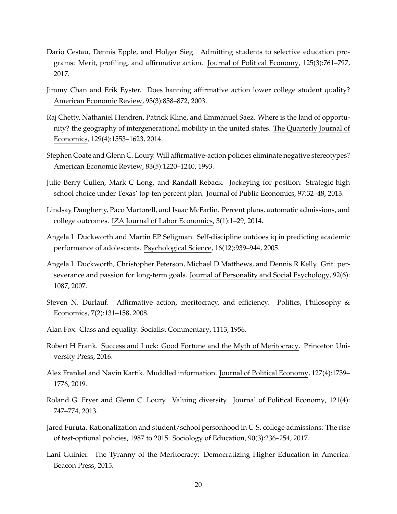- Dario Cestau, Dennis Epple, and Holger Sieg. Admitting students to selective education programs: Merit, profiling, and affirmative action. Journal of Political Economy, 125(3):761–797, 2017.
- Jimmy Chan and Erik Eyster. Does banning affirmative action lower college student quality? American Economic Review, 93(3):858–872, 2003.
- Raj Chetty, Nathaniel Hendren, Patrick Kline, and Emmanuel Saez. Where is the land of opportunity? the geography of intergenerational mobility in the united states. The Quarterly Journal of Economics, 129(4):1553–1623, 2014.
- Stephen Coate and Glenn C. Loury. Will affirmative-action policies eliminate negative stereotypes? American Economic Review, 83(5):1220–1240, 1993.
- Julie Berry Cullen, Mark C Long, and Randall Reback. Jockeying for position: Strategic high school choice under Texas' top ten percent plan. Journal of Public Economics, 97:32–48, 2013.
- Lindsay Daugherty, Paco Martorell, and Isaac McFarlin. Percent plans, automatic admissions, and college outcomes. IZA Journal of Labor Economics, 3(1):1–29, 2014.
- Angela L Duckworth and Martin EP Seligman. Self-discipline outdoes iq in predicting academic performance of adolescents. Psychological Science, 16(12):939–944, 2005.
- Angela L Duckworth, Christopher Peterson, Michael D Matthews, and Dennis R Kelly. Grit: perseverance and passion for long-term goals. Journal of Personality and Social Psychology, 92(6): 1087, 2007.
- Steven N. Durlauf. Affirmative action, meritocracy, and efficiency. Politics, Philosophy & Economics, 7(2):131–158, 2008.
- Alan Fox. Class and equality. Socialist Commentary, 1113, 1956.
- Robert H Frank. Success and Luck: Good Fortune and the Myth of Meritocracy. Princeton University Press, 2016.
- Alex Frankel and Navin Kartik. Muddled information. Journal of Political Economy, 127(4):1739– 1776, 2019.
- Roland G. Fryer and Glenn C. Loury. Valuing diversity. Journal of Political Economy, 121(4): 747–774, 2013.
- Jared Furuta. Rationalization and student/school personhood in U.S. college admissions: The rise of test-optional policies, 1987 to 2015. Sociology of Education, 90(3):236–254, 2017.
- Lani Guinier. The Tyranny of the Meritocracy: Democratizing Higher Education in America. Beacon Press, 2015.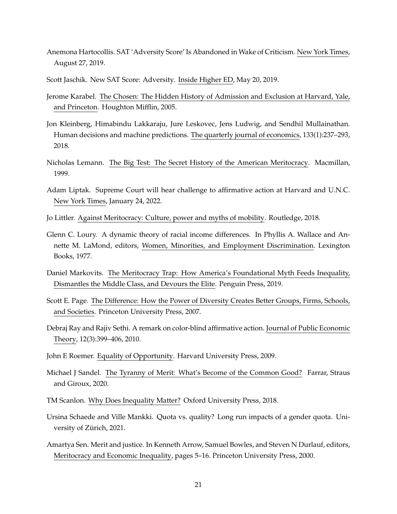- Anemona Hartocollis. SAT 'Adversity Score' Is Abandoned in Wake of Criticism. New York Times, August 27, 2019.
- Scott Jaschik. New SAT Score: Adversity. Inside Higher ED, May 20, 2019.
- Jerome Karabel. The Chosen: The Hidden History of Admission and Exclusion at Harvard, Yale, and Princeton. Houghton Mifflin, 2005.
- Jon Kleinberg, Himabindu Lakkaraju, Jure Leskovec, Jens Ludwig, and Sendhil Mullainathan. Human decisions and machine predictions. The quarterly journal of economics, 133(1):237–293, 2018.
- Nicholas Lemann. The Big Test: The Secret History of the American Meritocracy. Macmillan, 1999.
- Adam Liptak. Supreme Court will hear challenge to affirmative action at Harvard and U.N.C. New York Times, January 24, 2022.
- Jo Littler. Against Meritocracy: Culture, power and myths of mobility. Routledge, 2018.
- Glenn C. Loury. A dynamic theory of racial income differences. In Phyllis A. Wallace and Annette M. LaMond, editors, Women, Minorities, and Employment Discrimination. Lexington Books, 1977.
- Daniel Markovits. The Meritocracy Trap: How America's Foundational Myth Feeds Inequality, Dismantles the Middle Class, and Devours the Elite. Penguin Press, 2019.
- Scott E. Page. The Difference: How the Power of Diversity Creates Better Groups, Firms, Schools, and Societies. Princeton University Press, 2007.
- Debraj Ray and Rajiv Sethi. A remark on color-blind affirmative action. Journal of Public Economic Theory, 12(3):399–406, 2010.
- John E Roemer. Equality of Opportunity. Harvard University Press, 2009.
- Michael J Sandel. The Tyranny of Merit: What's Become of the Common Good? Farrar, Straus and Giroux, 2020.
- TM Scanlon. Why Does Inequality Matter? Oxford University Press, 2018.
- Ursina Schaede and Ville Mankki. Quota vs. quality? Long run impacts of a gender quota. University of Zürich, 2021.
- Amartya Sen. Merit and justice. In Kenneth Arrow, Samuel Bowles, and Steven N Durlauf, editors, Meritocracy and Economic Inequality, pages 5–16. Princeton University Press, 2000.